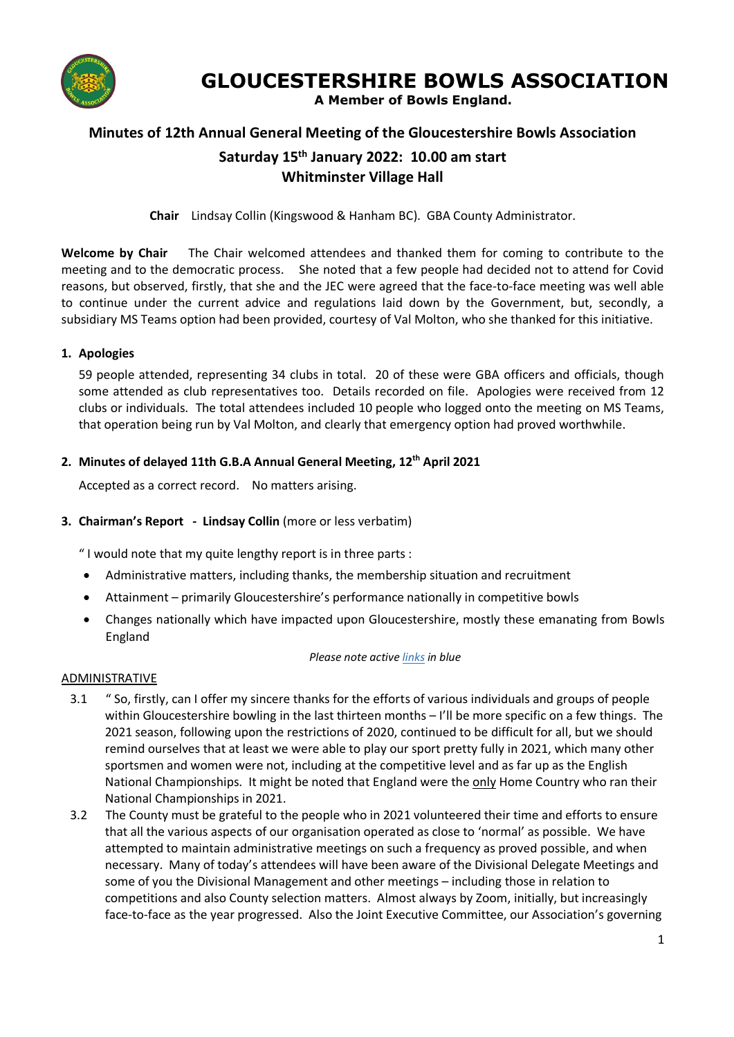

# **GLOUCESTERSHIRE BOWLS ASSOCIATION**

 **A Member of Bowls England.**

## **Minutes of 12th Annual General Meeting of the Gloucestershire Bowls Association**

# **Saturday 15 th January 2022: 10.00 am start Whitminster Village Hall**

**Chair** Lindsay Collin (Kingswood & Hanham BC). GBA County Administrator.

**Welcome by Chair** The Chair welcomed attendees and thanked them for coming to contribute to the meeting and to the democratic process. She noted that a few people had decided not to attend for Covid reasons, but observed, firstly, that she and the JEC were agreed that the face-to-face meeting was well able to continue under the current advice and regulations laid down by the Government, but, secondly, a subsidiary MS Teams option had been provided, courtesy of Val Molton, who she thanked for this initiative.

#### **1. Apologies**

59 people attended, representing 34 clubs in total. 20 of these were GBA officers and officials, though some attended as club representatives too. Details recorded on file. Apologies were received from 12 clubs or individuals. The total attendees included 10 people who logged onto the meeting on MS Teams, that operation being run by Val Molton, and clearly that emergency option had proved worthwhile.

#### **2. Minutes of delayed 11th G.B.A Annual General Meeting, 12 th April 2021**

Accepted as a correct record. No matters arising.

#### **3. Chairman's Report - Lindsay Collin** (more or less verbatim)

" I would note that my quite lengthy report is in three parts :

- Administrative matters, including thanks, the membership situation and recruitment
- Attainment primarily Gloucestershire's performance nationally in competitive bowls
- Changes nationally which have impacted upon Gloucestershire, mostly these emanating from Bowls England

#### *Please note active links in blue*

#### ADMINISTRATIVE

- 3.1 " So, firstly, can I offer my sincere thanks for the efforts of various individuals and groups of people within Gloucestershire bowling in the last thirteen months – I'll be more specific on a few things. The 2021 season, following upon the restrictions of 2020, continued to be difficult for all, but we should remind ourselves that at least we were able to play our sport pretty fully in 2021, which many other sportsmen and women were not, including at the competitive level and as far up as the English National Championships. It might be noted that England were the only Home Country who ran their National Championships in 2021.
- 3.2 The County must be grateful to the people who in 2021 volunteered their time and efforts to ensure that all the various aspects of our organisation operated as close to 'normal' as possible. We have attempted to maintain administrative meetings on such a frequency as proved possible, and when necessary. Many of today's attendees will have been aware of the Divisional Delegate Meetings and some of you the Divisional Management and other meetings – including those in relation to competitions and also County selection matters. Almost always by Zoom, initially, but increasingly face-to-face as the year progressed. Also the Joint Executive Committee, our Association's governing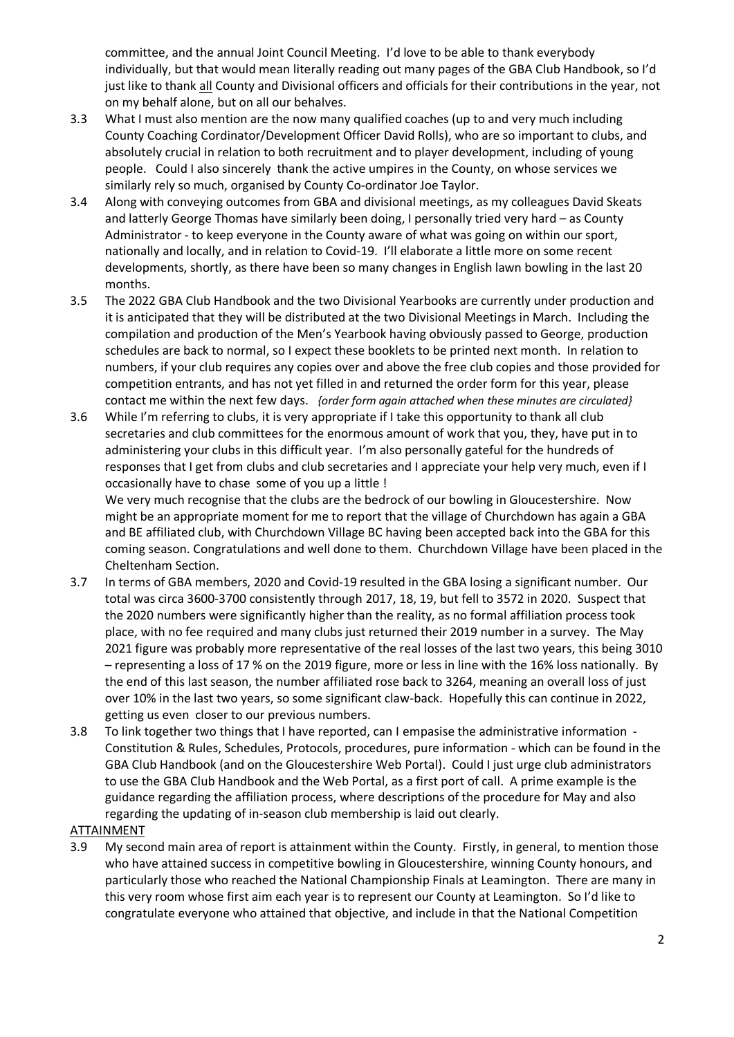committee, and the annual Joint Council Meeting. I'd love to be able to thank everybody individually, but that would mean literally reading out many pages of the GBA Club Handbook, so I'd just like to thank all County and Divisional officers and officials for their contributions in the year, not on my behalf alone, but on all our behalves.

- 3.3 What I must also mention are the now many qualified coaches (up to and very much including County Coaching Cordinator/Development Officer David Rolls), who are so important to clubs, and absolutely crucial in relation to both recruitment and to player development, including of young people. Could I also sincerely thank the active umpires in the County, on whose services we similarly rely so much, organised by County Co-ordinator Joe Taylor.
- 3.4 Along with conveying outcomes from GBA and divisional meetings, as my colleagues David Skeats and latterly George Thomas have similarly been doing, I personally tried very hard – as County Administrator - to keep everyone in the County aware of what was going on within our sport, nationally and locally, and in relation to Covid-19. I'll elaborate a little more on some recent developments, shortly, as there have been so many changes in English lawn bowling in the last 20 months.
- 3.5 The 2022 GBA Club Handbook and the two Divisional Yearbooks are currently under production and it is anticipated that they will be distributed at the two Divisional Meetings in March. Including the compilation and production of the Men's Yearbook having obviously passed to George, production schedules are back to normal, so I expect these booklets to be printed next month. In relation to numbers, if your club requires any copies over and above the free club copies and those provided for competition entrants, and has not yet filled in and returned the order form for this year, please contact me within the next few days. *{order form again attached when these minutes are circulated}*
- 3.6 While I'm referring to clubs, it is very appropriate if I take this opportunity to thank all club secretaries and club committees for the enormous amount of work that you, they, have put in to administering your clubs in this difficult year. I'm also personally gateful for the hundreds of responses that I get from clubs and club secretaries and I appreciate your help very much, even if I occasionally have to chase some of you up a little !

We very much recognise that the clubs are the bedrock of our bowling in Gloucestershire. Now might be an appropriate moment for me to report that the village of Churchdown has again a GBA and BE affiliated club, with Churchdown Village BC having been accepted back into the GBA for this coming season. Congratulations and well done to them. Churchdown Village have been placed in the Cheltenham Section.

- 3.7 In terms of GBA members, 2020 and Covid-19 resulted in the GBA losing a significant number. Our total was circa 3600-3700 consistently through 2017, 18, 19, but fell to 3572 in 2020. Suspect that the 2020 numbers were significantly higher than the reality, as no formal affiliation process took place, with no fee required and many clubs just returned their 2019 number in a survey. The May 2021 figure was probably more representative of the real losses of the last two years, this being 3010 – representing a loss of 17 % on the 2019 figure, more or less in line with the 16% loss nationally. By the end of this last season, the number affiliated rose back to 3264, meaning an overall loss of just over 10% in the last two years, so some significant claw-back. Hopefully this can continue in 2022, getting us even closer to our previous numbers.
- 3.8 To link together two things that I have reported, can I empasise the administrative information Constitution & Rules, Schedules, Protocols, procedures, pure information - which can be found in the GBA Club Handbook (and on the Gloucestershire Web Portal). Could I just urge club administrators to use the GBA Club Handbook and the Web Portal, as a first port of call. A prime example is the guidance regarding the affiliation process, where descriptions of the procedure for May and also regarding the updating of in-season club membership is laid out clearly.

#### ATTAINMENT

3.9 My second main area of report is attainment within the County. Firstly, in general, to mention those who have attained success in competitive bowling in Gloucestershire, winning County honours, and particularly those who reached the National Championship Finals at Leamington. There are many in this very room whose first aim each year is to represent our County at Leamington. So I'd like to congratulate everyone who attained that objective, and include in that the National Competition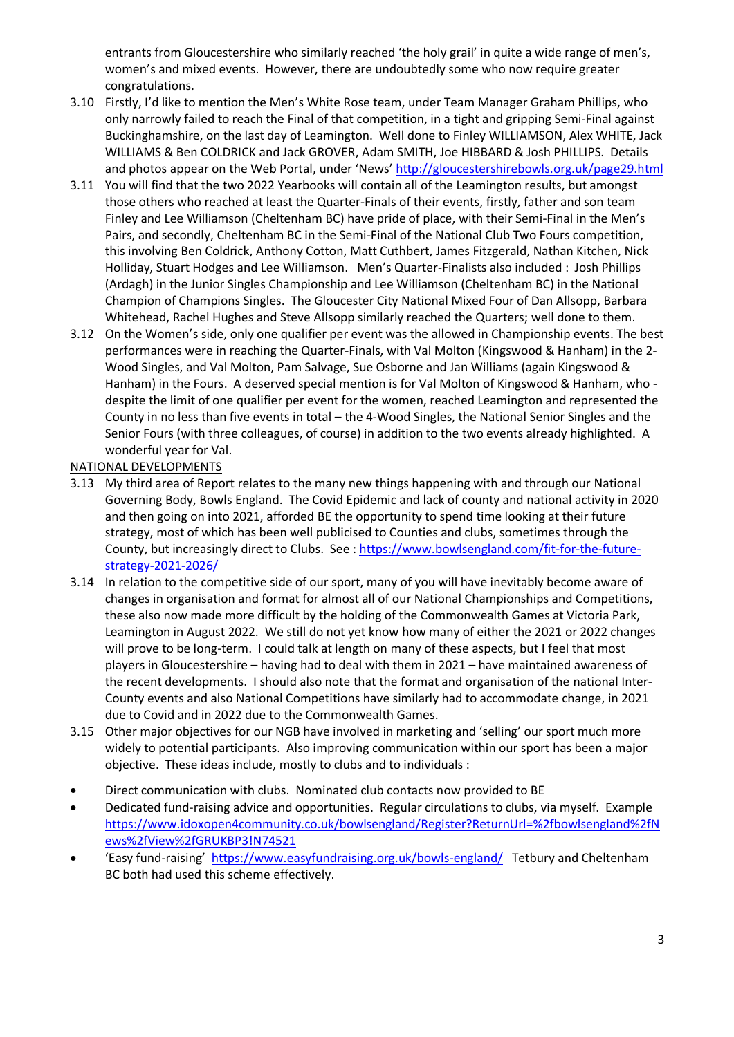entrants from Gloucestershire who similarly reached 'the holy grail' in quite a wide range of men's, women's and mixed events. However, there are undoubtedly some who now require greater congratulations.

- 3.10 Firstly, I'd like to mention the Men's White Rose team, under Team Manager Graham Phillips, who only narrowly failed to reach the Final of that competition, in a tight and gripping Semi-Final against Buckinghamshire, on the last day of Leamington. Well done to Finley WILLIAMSON, Alex WHITE, Jack WILLIAMS & Ben COLDRICK and Jack GROVER, Adam SMITH, Joe HIBBARD & Josh PHILLIPS. Details and photos appear on the Web Portal, under 'News' <http://gloucestershirebowls.org.uk/page29.html>
- 3.11 You will find that the two 2022 Yearbooks will contain all of the Leamington results, but amongst those others who reached at least the Quarter-Finals of their events, firstly, father and son team Finley and Lee Williamson (Cheltenham BC) have pride of place, with their Semi-Final in the Men's Pairs, and secondly, Cheltenham BC in the Semi-Final of the National Club Two Fours competition, this involving Ben Coldrick, Anthony Cotton, Matt Cuthbert, James Fitzgerald, Nathan Kitchen, Nick Holliday, Stuart Hodges and Lee Williamson. Men's Quarter-Finalists also included : Josh Phillips (Ardagh) in the Junior Singles Championship and Lee Williamson (Cheltenham BC) in the National Champion of Champions Singles. The Gloucester City National Mixed Four of Dan Allsopp, Barbara Whitehead, Rachel Hughes and Steve Allsopp similarly reached the Quarters; well done to them.
- 3.12 On the Women's side, only one qualifier per event was the allowed in Championship events. The best performances were in reaching the Quarter-Finals, with Val Molton (Kingswood & Hanham) in the 2- Wood Singles, and Val Molton, Pam Salvage, Sue Osborne and Jan Williams (again Kingswood & Hanham) in the Fours. A deserved special mention is for Val Molton of Kingswood & Hanham, who despite the limit of one qualifier per event for the women, reached Leamington and represented the County in no less than five events in total – the 4-Wood Singles, the National Senior Singles and the Senior Fours (with three colleagues, of course) in addition to the two events already highlighted. A wonderful year for Val.

#### NATIONAL DEVELOPMENTS

- 3.13 My third area of Report relates to the many new things happening with and through our National Governing Body, Bowls England. The Covid Epidemic and lack of county and national activity in 2020 and then going on into 2021, afforded BE the opportunity to spend time looking at their future strategy, most of which has been well publicised to Counties and clubs, sometimes through the County, but increasingly direct to Clubs. See [: https://www.bowlsengland.com/fit-for-the-future](https://www.bowlsengland.com/fit-for-the-future-strategy-2021-2026/)[strategy-2021-2026/](https://www.bowlsengland.com/fit-for-the-future-strategy-2021-2026/)
- 3.14 In relation to the competitive side of our sport, many of you will have inevitably become aware of changes in organisation and format for almost all of our National Championships and Competitions, these also now made more difficult by the holding of the Commonwealth Games at Victoria Park, Leamington in August 2022. We still do not yet know how many of either the 2021 or 2022 changes will prove to be long-term. I could talk at length on many of these aspects, but I feel that most players in Gloucestershire – having had to deal with them in 2021 – have maintained awareness of the recent developments. I should also note that the format and organisation of the national Inter-County events and also National Competitions have similarly had to accommodate change, in 2021 due to Covid and in 2022 due to the Commonwealth Games.
- 3.15 Other major objectives for our NGB have involved in marketing and 'selling' our sport much more widely to potential participants. Also improving communication within our sport has been a major objective. These ideas include, mostly to clubs and to individuals :
- Direct communication with clubs. Nominated club contacts now provided to BE
- Dedicated fund-raising advice and opportunities. Regular circulations to clubs, via myself. Example [https://www.idoxopen4community.co.uk/bowlsengland/Register?ReturnUrl=%2fbowlsengland%2fN](https://www.idoxopen4community.co.uk/bowlsengland/Register?ReturnUrl=%2fbowlsengland%2fNews%2fView%2fGRUKBP3!N74521) [ews%2fView%2fGRUKBP3!N74521](https://www.idoxopen4community.co.uk/bowlsengland/Register?ReturnUrl=%2fbowlsengland%2fNews%2fView%2fGRUKBP3!N74521)
- 'Easy fund-raising'<https://www.easyfundraising.org.uk/bowls-england/> Tetbury and Cheltenham BC both had used this scheme effectively.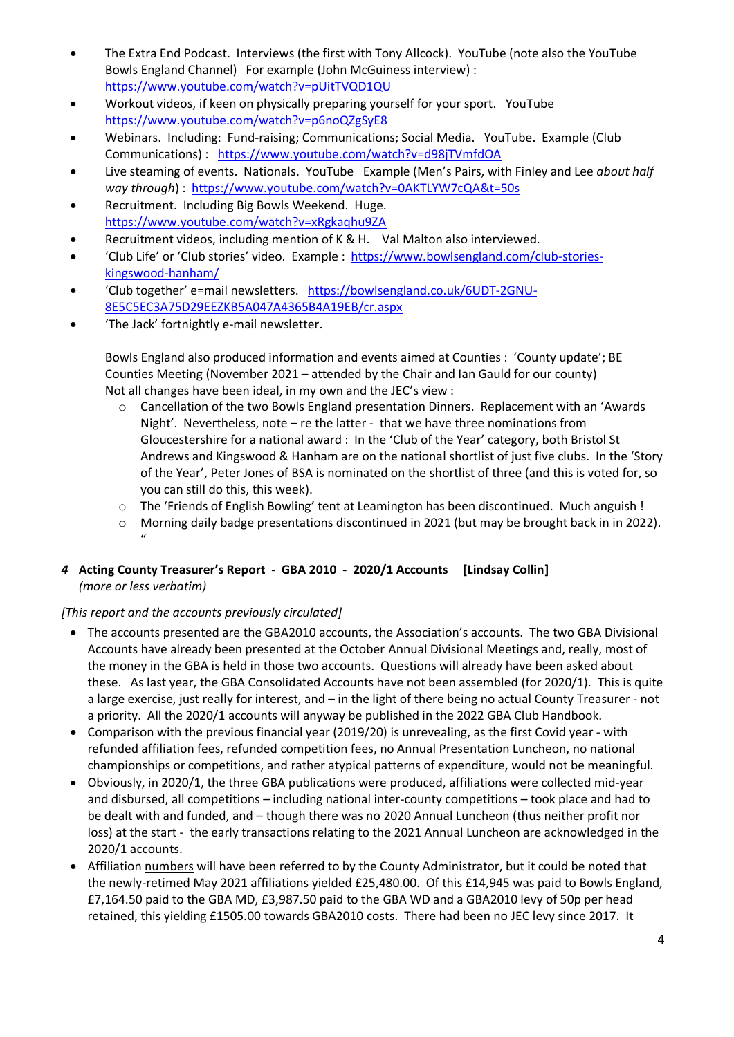- The Extra End Podcast. Interviews (the first with Tony Allcock). YouTube (note also the YouTube Bowls England Channel) For example (John McGuiness interview) : <https://www.youtube.com/watch?v=pUitTVQD1QU>
- Workout videos, if keen on physically preparing yourself for your sport. YouTube <https://www.youtube.com/watch?v=p6noQZgSyE8>
- Webinars. Including: Fund-raising; Communications; Social Media. YouTube. Example (Club Communications) : <https://www.youtube.com/watch?v=d98jTVmfdOA>
- Live steaming of events. Nationals. YouTube Example (Men's Pairs, with Finley and Lee *about half way through*) :<https://www.youtube.com/watch?v=0AKTLYW7cQA&t=50s>
- Recruitment. Including Big Bowls Weekend. Huge. <https://www.youtube.com/watch?v=xRgkaqhu9ZA>
- Recruitment videos, including mention of K & H. Val Malton also interviewed.
- 'Club Life' or 'Club stories' video. Example : [https://www.bowlsengland.com/club-stories](https://www.bowlsengland.com/club-stories-kingswood-hanham/)[kingswood-hanham/](https://www.bowlsengland.com/club-stories-kingswood-hanham/)
- 'Club together' e=mail newsletters. [https://bowlsengland.co.uk/6UDT-2GNU-](https://bowlsengland.co.uk/6UDT-2GNU-8E5C5EC3A75D29EEZKB5A047A4365B4A19EB/cr.aspx)[8E5C5EC3A75D29EEZKB5A047A4365B4A19EB/cr.aspx](https://bowlsengland.co.uk/6UDT-2GNU-8E5C5EC3A75D29EEZKB5A047A4365B4A19EB/cr.aspx)
- 'The Jack' fortnightly e-mail newsletter.

Bowls England also produced information and events aimed at Counties : 'County update'; BE Counties Meeting (November 2021 – attended by the Chair and Ian Gauld for our county) Not all changes have been ideal, in my own and the JEC's view :

- $\circ$  Cancellation of the two Bowls England presentation Dinners. Replacement with an 'Awards Night'. Nevertheless, note – re the latter - that we have three nominations from Gloucestershire for a national award : In the 'Club of the Year' category, both Bristol St Andrews and Kingswood & Hanham are on the national shortlist of just five clubs. In the 'Story of the Year', Peter Jones of BSA is nominated on the shortlist of three (and this is voted for, so you can still do this, this week).
- o The 'Friends of English Bowling' tent at Leamington has been discontinued. Much anguish !
- o Morning daily badge presentations discontinued in 2021 (but may be brought back in in 2022).  $^{\prime\prime}$

## *4* **Acting County Treasurer's Report - GBA 2010 - 2020/1 Accounts [Lindsay Collin]** *(more or less verbatim)*

## *[This report and the accounts previously circulated]*

- The accounts presented are the GBA2010 accounts, the Association's accounts. The two GBA Divisional Accounts have already been presented at the October Annual Divisional Meetings and, really, most of the money in the GBA is held in those two accounts. Questions will already have been asked about these. As last year, the GBA Consolidated Accounts have not been assembled (for 2020/1). This is quite a large exercise, just really for interest, and – in the light of there being no actual County Treasurer - not a priority. All the 2020/1 accounts will anyway be published in the 2022 GBA Club Handbook.
- Comparison with the previous financial year (2019/20) is unrevealing, as the first Covid year with refunded affiliation fees, refunded competition fees, no Annual Presentation Luncheon, no national championships or competitions, and rather atypical patterns of expenditure, would not be meaningful.
- Obviously, in 2020/1, the three GBA publications were produced, affiliations were collected mid-year and disbursed, all competitions – including national inter-county competitions – took place and had to be dealt with and funded, and – though there was no 2020 Annual Luncheon (thus neither profit nor loss) at the start - the early transactions relating to the 2021 Annual Luncheon are acknowledged in the 2020/1 accounts.
- Affiliation numbers will have been referred to by the County Administrator, but it could be noted that the newly-retimed May 2021 affiliations yielded £25,480.00. Of this £14,945 was paid to Bowls England, £7,164.50 paid to the GBA MD, £3,987.50 paid to the GBA WD and a GBA2010 levy of 50p per head retained, this yielding £1505.00 towards GBA2010 costs. There had been no JEC levy since 2017. It